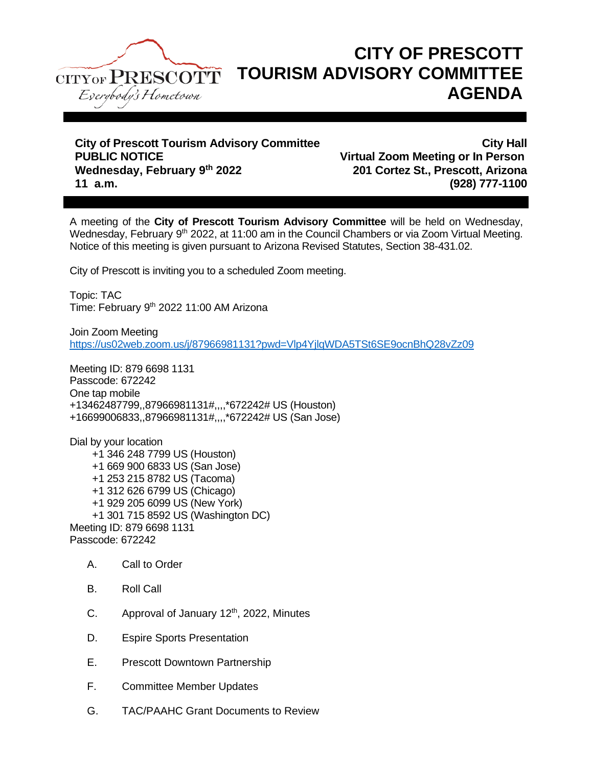

## **CITY OF PRESCOTT TOURISM ADVISORY COMMITTEE AGENDA**

**City of Prescott Tourism Advisory Committee City Hall PUBLIC NOTICE Virtual Zoom Meeting or In Person Wednesday, February 9th 2022 201 Cortez St., Prescott, Arizona 11 a.m. (928) 777-1100**

A meeting of the **City of Prescott Tourism Advisory Committee** will be held on Wednesday, Wednesday, February 9<sup>th</sup> 2022, at 11:00 am in the Council Chambers or via Zoom Virtual Meeting. Notice of this meeting is given pursuant to Arizona Revised Statutes, Section 38-431.02.

City of Prescott is inviting you to a scheduled Zoom meeting.

Topic: TAC Time: February 9<sup>th</sup> 2022 11:00 AM Arizona

Join Zoom Meeting <https://us02web.zoom.us/j/87966981131?pwd=Vlp4YjlqWDA5TSt6SE9ocnBhQ28vZz09>

Meeting ID: 879 6698 1131 Passcode: 672242 One tap mobile +13462487799,,87966981131#,,,,\*672242# US (Houston) +16699006833,,87966981131#,,,,\*672242# US (San Jose)

Dial by your location +1 346 248 7799 US (Houston) +1 669 900 6833 US (San Jose) +1 253 215 8782 US (Tacoma) +1 312 626 6799 US (Chicago) +1 929 205 6099 US (New York) +1 301 715 8592 US (Washington DC) Meeting ID: 879 6698 1131 Passcode: 672242

- A. Call to Order
- B. Roll Call
- C. Approval of January  $12<sup>th</sup>$ , 2022, Minutes
- D. Espire Sports Presentation
- E. Prescott Downtown Partnership
- F. Committee Member Updates
- G. TAC/PAAHC Grant Documents to Review